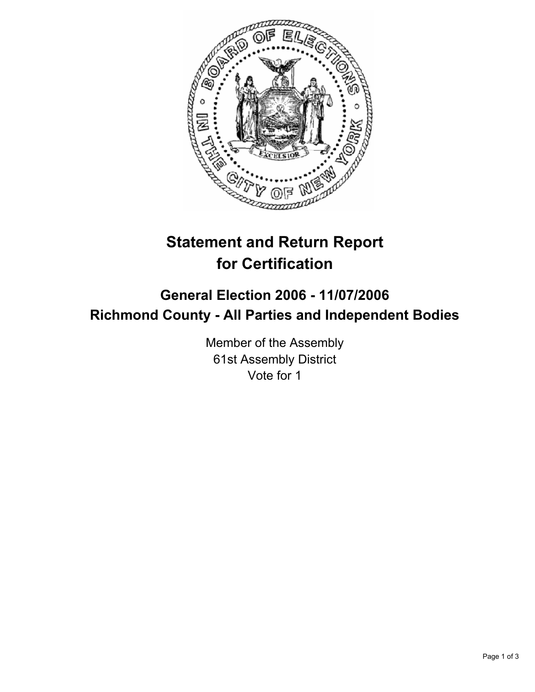

# **Statement and Return Report for Certification**

## **General Election 2006 - 11/07/2006 Richmond County - All Parties and Independent Bodies**

Member of the Assembly 61st Assembly District Vote for 1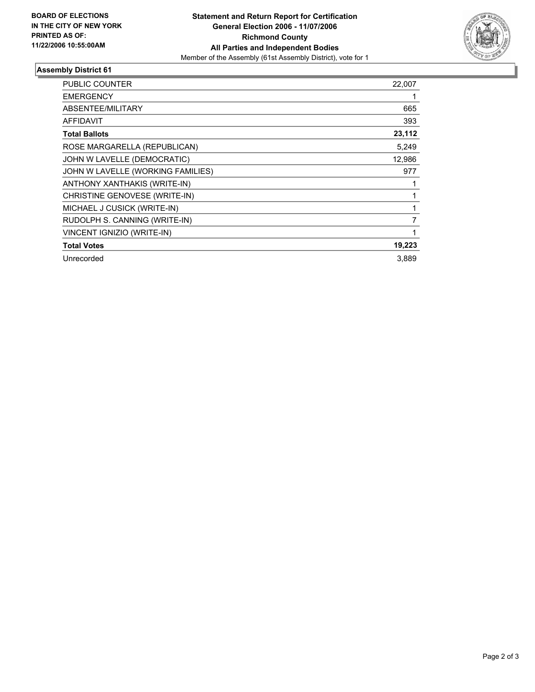

### **Assembly District 61**

| PUBLIC COUNTER                    | 22,007 |
|-----------------------------------|--------|
| <b>EMERGENCY</b>                  |        |
| ABSENTEE/MILITARY                 | 665    |
| <b>AFFIDAVIT</b>                  | 393    |
| <b>Total Ballots</b>              | 23,112 |
| ROSE MARGARELLA (REPUBLICAN)      | 5,249  |
| JOHN W LAVELLE (DEMOCRATIC)       | 12,986 |
| JOHN W LAVELLE (WORKING FAMILIES) | 977    |
| ANTHONY XANTHAKIS (WRITE-IN)      |        |
| CHRISTINE GENOVESE (WRITE-IN)     |        |
| MICHAEL J CUSICK (WRITE-IN)       |        |
| RUDOLPH S. CANNING (WRITE-IN)     |        |
| VINCENT IGNIZIO (WRITE-IN)        |        |
| <b>Total Votes</b>                | 19,223 |
| Unrecorded                        | 3,889  |